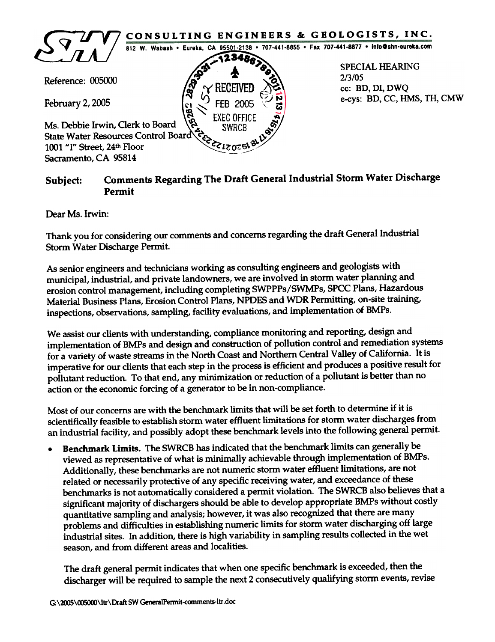

## Comments Regarding The Draft General Industrial Storm Water Discharge Permit Subject:

Dear Ms. Irwin:

Thank you for considering our comments and concerns regarding the draft General Industrial Storm Water Discharge Permit.

As senior engineers and technicians working as consulting engineers and geologists with<br>municipal, industrial, and private landowners, we are involved in storm water planning and erosion control management, including completing SWPPPs/SWMPs, SPCC Plans, Hazardous Material Business Plans, Erosion Control Plans, NPDES and WDR Permitting, on-site training, inspections, observations, sampling, facility evaluations, and implementation of BMPs.

We assist our clients with understanding, compliance monitoring and reporting, design and implementation of BMPs and design and construction of pollution control and remediation systems<br>for a variety of waste streams in the North Coast and Northern Central Valley of California. It is imperative for our clients that each step in the process is efficient and produces a positive result for pollutant reduction. To that end, any minimization or reduction of a pollutant is better than no action or the economic forcing of a generator to be in non-compliance.

Most of our concerns are with the benchmark limits that will be set forth to determine if it is scientifically feasible to establish storm water effluent limitations for storm water discharges from<br>an industrial facility, and possibly adopt these benchmark levels into the following general permit.

Benchmark Limits. The SWRCB has indicated that the benchmark limits can generally be . viewed as representative of what is minimally achievable through implementation of BMPs.<br>Additionally, these benchmarks are not numeric storm water effluent limitations, are not related or necessarily protective of any specific receiving water, and exceedance of these<br>benchmarks is not automatically considered a permit violation. The SWRCB also believes that a significant majority of dischargers should be able to develop appropriate BMPs without costly quantitative sampling and analysis; however, it was also recognized that there are many<br>problems and difficulties in establishing numeric limits for storm water discharging off large industrial sites. In addition, there is high variability in sampling results collected in the wet season, and from different areas and localities.

The draft general permit indicates that when one specific benchmark is exceeded, then the discharger will be required to sample the next 2 consecutively qualifying storm events, revise